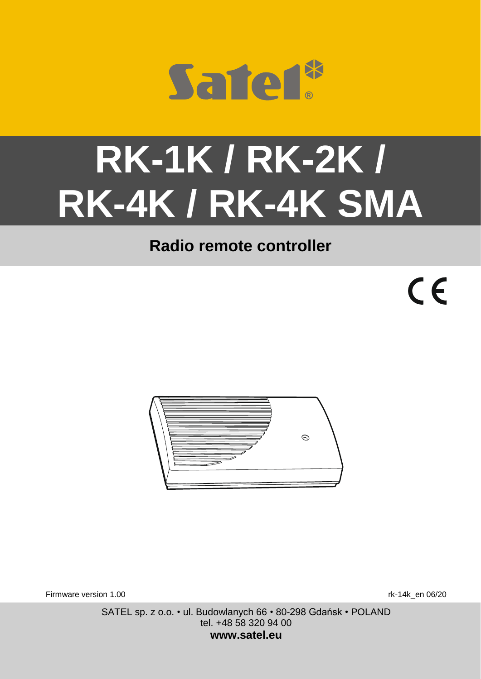

# **RK-1K / RK-2K / RK-4K / RK-4K SMA**

# **Radio remote controller**

 $\epsilon$ 



Firmware version 1.00 **research 1.00** rk-14k en 06/20

SATEL sp. z o.o. • ul. Budowlanych 66 • 80-298 Gdańsk • POLAND tel. +48 58 320 94 00 **www.satel.eu**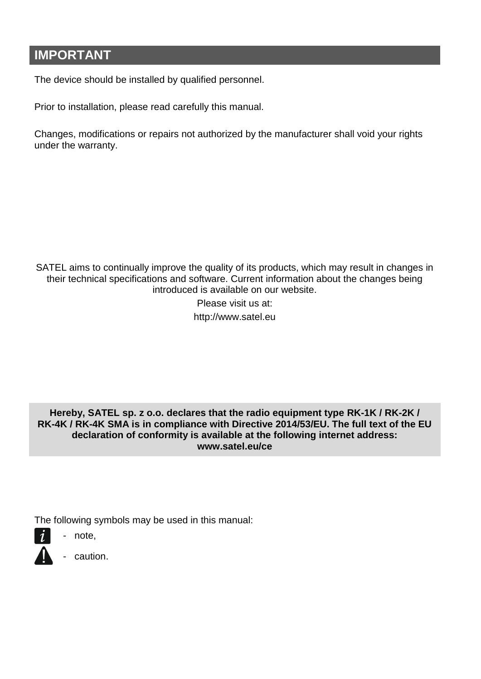# **IMPORTANT**

The device should be installed by qualified personnel.

Prior to installation, please read carefully this manual.

Changes, modifications or repairs not authorized by the manufacturer shall void your rights under the warranty.

SATEL aims to continually improve the quality of its products, which may result in changes in their technical specifications and software. Current information about the changes being introduced is available on our website.

> Please visit us at: http://www.satel.eu

**Hereby, SATEL sp. z o.o. declares that the radio equipment type RK-1K / RK-2K / RK-4K / RK-4K SMA is in compliance with Directive 2014/53/EU. The full text of the EU declaration of conformity is available at the following internet address: www.satel.eu/ce**

The following symbols may be used in this manual:

- $\boldsymbol{i}$ note,
	- caution.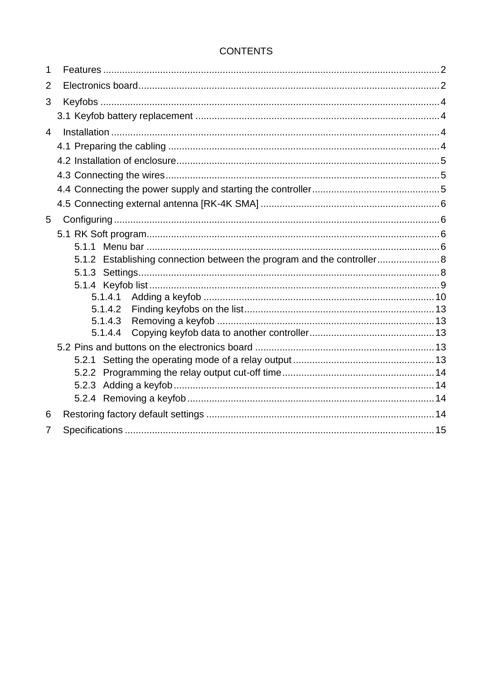#### **CONTENTS**

| 1              |                                                                        |  |
|----------------|------------------------------------------------------------------------|--|
| $\overline{2}$ |                                                                        |  |
| 3              |                                                                        |  |
|                |                                                                        |  |
| $\overline{4}$ |                                                                        |  |
|                |                                                                        |  |
|                |                                                                        |  |
|                |                                                                        |  |
|                |                                                                        |  |
|                |                                                                        |  |
| 5              |                                                                        |  |
|                |                                                                        |  |
|                |                                                                        |  |
|                | 5.1.2 Establishing connection between the program and the controller 8 |  |
|                |                                                                        |  |
|                |                                                                        |  |
|                |                                                                        |  |
|                | 5.1.4.2<br>5.1.4.3                                                     |  |
|                | 5.1.4.4                                                                |  |
|                |                                                                        |  |
|                |                                                                        |  |
|                |                                                                        |  |
|                |                                                                        |  |
|                |                                                                        |  |
| 6              |                                                                        |  |
| $\overline{7}$ |                                                                        |  |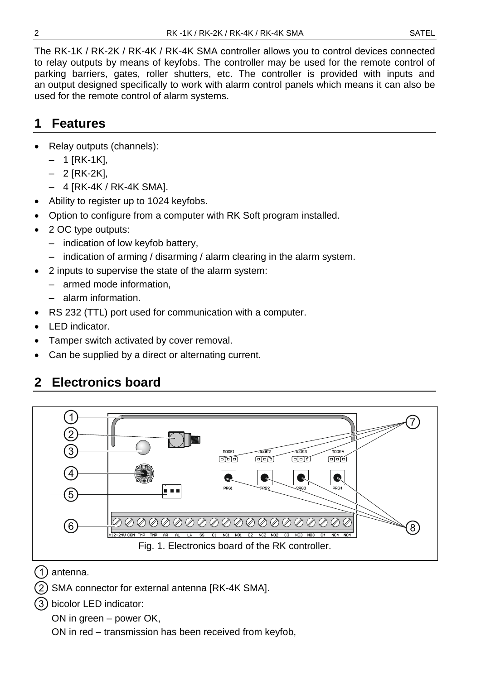The RK-1K / RK-2K / RK-4K / RK-4K SMA controller allows you to control devices connected to relay outputs by means of keyfobs. The controller may be used for the remote control of parking barriers, gates, roller shutters, etc. The controller is provided with inputs and an output designed specifically to work with alarm control panels which means it can also be used for the remote control of alarm systems.

# <span id="page-3-0"></span>**1 Features**

- Relay outputs (channels):
	- $-1$  [RK-1K],
	- 2 [RK-2K],
	- 4 [RK-4K / RK-4K SMA].
- Ability to register up to 1024 keyfobs.
- Option to configure from a computer with RK Soft program installed.
- 2 OC type outputs:
	- indication of low keyfob battery,
	- indication of arming / disarming / alarm clearing in the alarm system.
- 2 inputs to supervise the state of the alarm system:
	- armed mode information,
	- alarm information.
- RS 232 (TTL) port used for communication with a computer.
- LED indicator.
- Tamper switch activated by cover removal.
- Can be supplied by a direct or alternating current.

# <span id="page-3-1"></span>**2 Electronics board**



(1) antenna.

- SMA connector for external antenna [RK-4K SMA].
- bicolor LED indicator:

ON in green – power OK,

ON in red – transmission has been received from keyfob,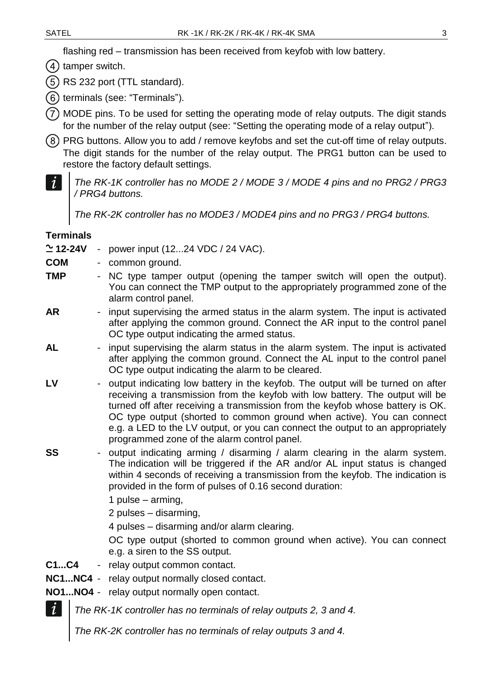flashing red – transmission has been received from keyfob with low battery.

 $(4)$  tamper switch.

 $(5)$  RS 232 port (TTL standard).

(6) terminals (see: ["Terminals"](#page-4-0)).

MODE pins. To be used for setting the operating mode of relay outputs. The digit stands for the number of the relay output (see: ["Setting the operating mode of a relay output"](#page-14-4)).

- PRG buttons. Allow you to add / remove keyfobs and set the cut-off time of relay outputs. The digit stands for the number of the relay output. The PRG1 button can be used to restore the factory default settings.
- $\boldsymbol{i}$ *The RK-1K controller has no MODE 2 / MODE 3 / MODE 4 pins and no PRG2 / PRG3 / PRG4 buttons.*

*The RK-2K controller has no MODE3 / MODE4 pins and no PRG3 / PRG4 buttons.*

#### <span id="page-4-0"></span>**Terminals**

**12-24V** - power input (12...24 VDC / 24 VAC).

- **COM** common ground.
- **TMP** NC type tamper output (opening the tamper switch will open the output). You can connect the TMP output to the appropriately programmed zone of the alarm control panel.
- AR input supervising the armed status in the alarm system. The input is activated after applying the common ground. Connect the AR input to the control panel OC type output indicating the armed status.
- AL input supervising the alarm status in the alarm system. The input is activated after applying the common ground. Connect the AL input to the control panel OC type output indicating the alarm to be cleared.
- LV output indicating low battery in the keyfob. The output will be turned on after receiving a transmission from the keyfob with low battery. The output will be turned off after receiving a transmission from the keyfob whose battery is OK. OC type output (shorted to common ground when active). You can connect e.g. a LED to the LV output, or you can connect the output to an appropriately programmed zone of the alarm control panel.
- **SS** output indicating arming / disarming / alarm clearing in the alarm system. The indication will be triggered if the AR and/or AL input status is changed within 4 seconds of receiving a transmission from the keyfob. The indication is provided in the form of pulses of 0.16 second duration:
	- 1 pulse arming,
	- 2 pulses disarming,

4 pulses – disarming and/or alarm clearing.

OC type output (shorted to common ground when active). You can connect e.g. a siren to the SS output.

- **C1...C4** relay output common contact.
- **NC1...NC4** relay output normally closed contact.
- **NO1...NO4** relay output normally open contact.

*The RK-1K controller has no terminals of relay outputs 2, 3 and 4.*

*The RK-2K controller has no terminals of relay outputs 3 and 4.*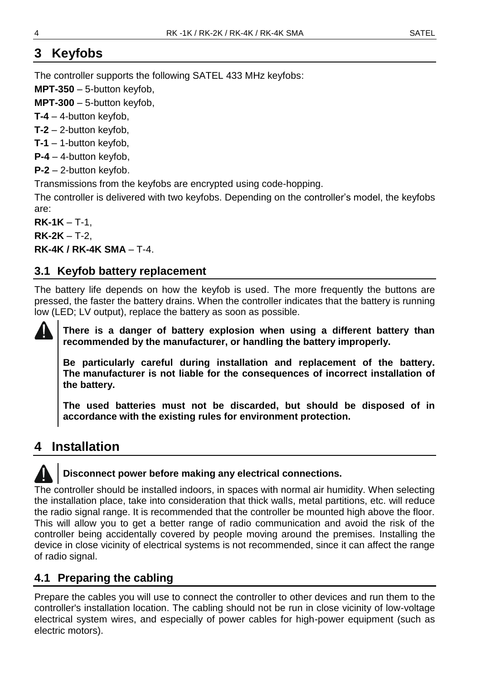# <span id="page-5-0"></span>**3 Keyfobs**

The controller supports the following SATEL 433 MHz keyfobs:

**MPT-350** – 5-button keyfob,

**MPT-300** – 5-button keyfob,

**T-4** – 4-button keyfob,

**T-2** – 2-button keyfob,

**T-1** – 1-button keyfob,

**P-4** – 4-button keyfob,

**P-2** – 2-button keyfob.

Transmissions from the keyfobs are encrypted using code-hopping.

The controller is delivered with two keyfobs. Depending on the controller's model, the keyfobs are:

**RK-1K** – T-1,

**RK-2K** – T-2,

**RK-4K / RK-4K SMA** – T-4.

#### <span id="page-5-1"></span>**3.1 Keyfob battery replacement**

The battery life depends on how the keyfob is used. The more frequently the buttons are pressed, the faster the battery drains. When the controller indicates that the battery is running low (LED; LV output), replace the battery as soon as possible.



**There is a danger of battery explosion when using a different battery than recommended by the manufacturer, or handling the battery improperly.**

**Be particularly careful during installation and replacement of the battery. The manufacturer is not liable for the consequences of incorrect installation of the battery.**

**The used batteries must not be discarded, but should be disposed of in accordance with the existing rules for environment protection.**

# <span id="page-5-2"></span>**4 Installation**

#### **Disconnect power before making any electrical connections.**

The controller should be installed indoors, in spaces with normal air humidity. When selecting the installation place, take into consideration that thick walls, metal partitions, etc. will reduce the radio signal range. It is recommended that the controller be mounted high above the floor. This will allow you to get a better range of radio communication and avoid the risk of the controller being accidentally covered by people moving around the premises. Installing the device in close vicinity of electrical systems is not recommended, since it can affect the range of radio signal.

# <span id="page-5-3"></span>**4.1 Preparing the cabling**

Prepare the cables you will use to connect the controller to other devices and run them to the controller's installation location. The cabling should not be run in close vicinity of low-voltage electrical system wires, and especially of power cables for high-power equipment (such as electric motors).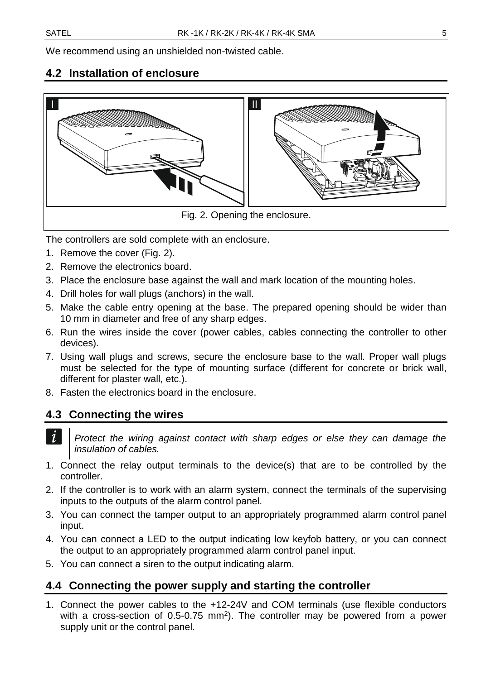We recommend using an unshielded non-twisted cable.

### <span id="page-6-0"></span>**4.2 Installation of enclosure**



<span id="page-6-3"></span>The controllers are sold complete with an enclosure.

- 1. Remove the cover (Fig. [2\)](#page-6-3).
- 2. Remove the electronics board.
- 3. Place the enclosure base against the wall and mark location of the mounting holes.
- 4. Drill holes for wall plugs (anchors) in the wall.
- 5. Make the cable entry opening at the base. The prepared opening should be wider than 10 mm in diameter and free of any sharp edges.
- 6. Run the wires inside the cover (power cables, cables connecting the controller to other devices).
- 7. Using wall plugs and screws, secure the enclosure base to the wall. Proper wall plugs must be selected for the type of mounting surface (different for concrete or brick wall, different for plaster wall, etc.).
- 8. Fasten the electronics board in the enclosure.

#### <span id="page-6-1"></span>**4.3 Connecting the wires**

 $\boldsymbol{i}$ 

- *Protect the wiring against contact with sharp edges or else they can damage the insulation of cables.*
- 1. Connect the relay output terminals to the device(s) that are to be controlled by the controller.
- 2. If the controller is to work with an alarm system, connect the terminals of the supervising inputs to the outputs of the alarm control panel.
- 3. You can connect the tamper output to an appropriately programmed alarm control panel input.
- 4. You can connect a LED to the output indicating low keyfob battery, or you can connect the output to an appropriately programmed alarm control panel input.
- 5. You can connect a siren to the output indicating alarm.

#### <span id="page-6-2"></span>**4.4 Connecting the power supply and starting the controller**

1. Connect the power cables to the +12-24V and COM terminals (use flexible conductors with a cross-section of 0.5-0.75  $mm<sup>2</sup>$ ). The controller may be powered from a power supply unit or the control panel.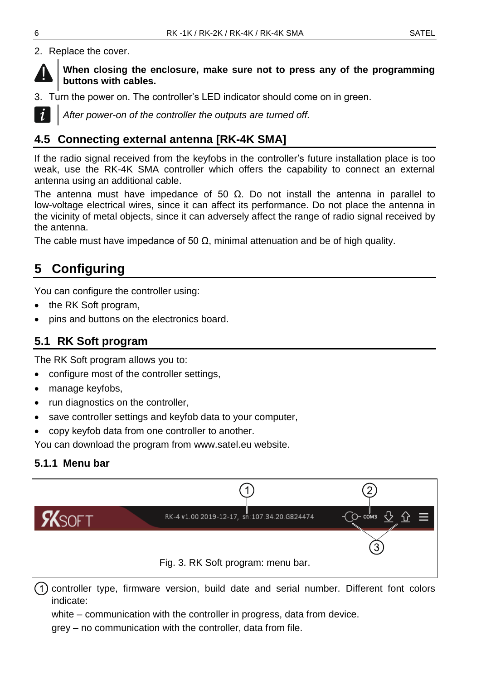2. Replace the cover.



**When closing the enclosure, make sure not to press any of the programming buttons with cables.**

3. Turn the power on. The controller's LED indicator should come on in green.



*After power-on of the controller the outputs are turned off.*

#### <span id="page-7-0"></span>**4.5 Connecting external antenna [RK-4K SMA]**

If the radio signal received from the keyfobs in the controller's future installation place is too weak, use the RK-4K SMA controller which offers the capability to connect an external antenna using an additional cable.

The antenna must have impedance of 50  $\Omega$ . Do not install the antenna in parallel to low-voltage electrical wires, since it can affect its performance. Do not place the antenna in the vicinity of metal objects, since it can adversely affect the range of radio signal received by the antenna.

The cable must have impedance of 50  $\Omega$ , minimal attenuation and be of high quality.

# <span id="page-7-1"></span>**5 Configuring**

You can configure the controller using:

- the RK Soft program,
- pins and buttons on the electronics board.

#### <span id="page-7-2"></span>**5.1 RK Soft program**

The RK Soft program allows you to:

- configure most of the controller settings,
- manage keyfobs,
- run diagnostics on the controller,
- save controller settings and keyfob data to your computer,
- copy keyfob data from one controller to another.

You can download the program from www.satel.eu website.

#### <span id="page-7-3"></span>**5.1.1 Menu bar**



(1) controller type, firmware version, build date and serial number. Different font colors indicate:

white – communication with the controller in progress, data from device.

grey – no communication with the controller, data from file.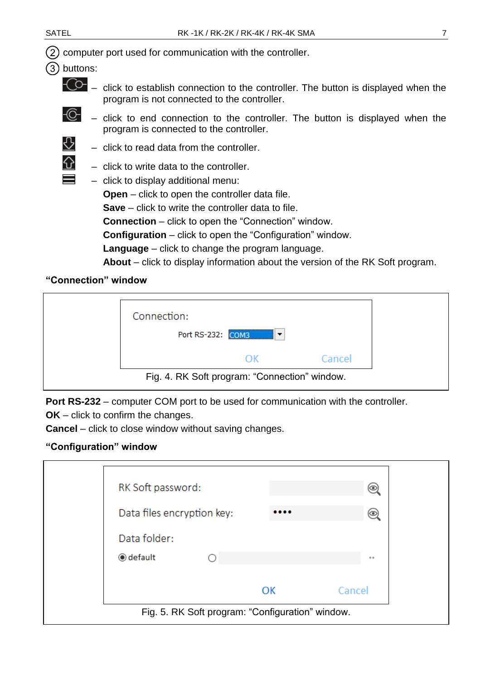$(2)$  computer port used for communication with the controller.

- buttons:
	-
	- $-\widehat{C}$  click to establish connection to the controller. The button is displayed when the program is not connected to the controller.
	- -6
- click to end connection to the controller. The button is displayed when the program is connected to the controller.
- ⇩
- click to write data to the controller.

– click to read data from the controller.

– click to display additional menu:

**Open** – click to open the controller data file. **Save** – click to write the controller data to file. **Connection** – click to open the "Connection" window. **Configuration** – click to open the "Configuration" window. **Language** – click to change the program language. **About** – click to display information about the version of the RK Soft program.

#### <span id="page-8-0"></span>**"Connection" window**

| Connection: |                                               |        |  |
|-------------|-----------------------------------------------|--------|--|
|             | Port RS-232: COM3<br>$\overline{\phantom{a}}$ |        |  |
|             | OK.                                           | Cancel |  |
|             | Fig. 4. RK Soft program: "Connection" window. |        |  |

**Port RS-232** – computer COM port to be used for communication with the controller.

**OK** – click to confirm the changes.

**Cancel** – click to close window without saving changes.

#### **"Configuration" window**

| RK Soft password:                                |  |    | (®           |  |  |  |  |
|--------------------------------------------------|--|----|--------------|--|--|--|--|
| Data files encryption key:                       |  |    | $_{(\odot)}$ |  |  |  |  |
| Data folder:                                     |  |    |              |  |  |  |  |
| <b>◎</b> default                                 |  |    |              |  |  |  |  |
|                                                  |  | OK | Cancel       |  |  |  |  |
| Fig. 5. RK Soft program: "Configuration" window. |  |    |              |  |  |  |  |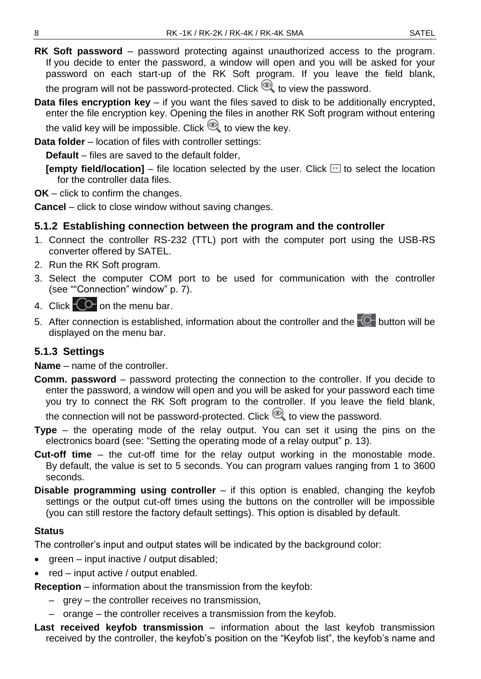- **RK Soft password** password protecting against unauthorized access to the program. If you decide to enter the password, a window will open and you will be asked for your password on each start-up of the RK Soft program. If you leave the field blank, the program will not be password-protected. Click  $\bullet$  to view the password.
- **Data files encryption key** if you want the files saved to disk to be additionally encrypted, enter the file encryption key. Opening the files in another RK Soft program without entering the valid key will be impossible. Click  $\mathcal{Q}$  to view the key.

**Data folder** – location of files with controller settings:

**Default** – files are saved to the default folder,

**[empty field/location]**  $-$  file location selected by the user. Click  $\Box$  to select the location for the controller data files.

**OK** – click to confirm the changes.

**Cancel** – click to close window without saving changes.

#### <span id="page-9-0"></span>**5.1.2 Establishing connection between the program and the controller**

- 1. Connect the controller RS-232 (TTL) port with the computer port using the USB-RS converter offered by SATEL.
- 2. Run the RK Soft program.
- 3. Select the computer COM port to be used for communication with the controller (see [""Connection" window"](#page-8-0) p. [7\)](#page-8-0).
- 4. Click  $\overline{C}$  on the menu bar.
- 5. After connection is established, information about the controller and the  $\overline{\mathbb{C}}$  button will be displayed on the menu bar.

#### <span id="page-9-1"></span>**5.1.3 Settings**

**Name** – name of the controller.

- **Comm. password** password protecting the connection to the controller. If you decide to enter the password, a window will open and you will be asked for your password each time you try to connect the RK Soft program to the controller. If you leave the field blank, the connection will not be password-protected. Click  $\bigotimes$  to view the password.
- **Type** the operating mode of the relay output. You can set it using the pins on the electronics board (see: ["Setting the operating mode of a relay output"](#page-14-4) p. [13\)](#page-14-4).
- **Cut-off time** the cut-off time for the relay output working in the monostable mode. By default, the value is set to 5 seconds. You can program values ranging from 1 to 3600 seconds.
- **Disable programming using controller** if this option is enabled, changing the keyfob settings or the output cut-off times using the buttons on the controller will be impossible (you can still restore the factory default settings). This option is disabled by default.

#### **Status**

The controller's input and output states will be indicated by the background color:

- green input inactive / output disabled;
- red input active / output enabled.

**Reception** – information about the transmission from the keyfob:

- grey the controller receives no transmission,
- orange the controller receives a transmission from the keyfob.
- **Last received keyfob transmission** information about the last keyfob transmission received by the controller, the keyfob's position on the "Keyfob list", the keyfob's name and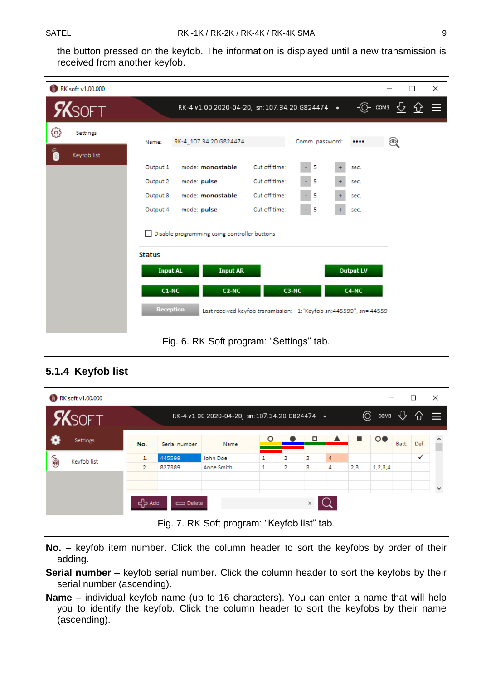the button pressed on the keyfob. The information is displayed until a new transmission is received from another keyfob.

| RK soft v1.00.000 | $\times$<br>□                                                                                                                                                                                                                                                                                                                       |
|-------------------|-------------------------------------------------------------------------------------------------------------------------------------------------------------------------------------------------------------------------------------------------------------------------------------------------------------------------------------|
| <b>SKSOFT</b>     | $\circled{C}$ coma $\circlearrowright$ $\circlearrowright$<br>RK-4 v1.00 2020-04-20, sn:107.34.20.G824474 *                                                                                                                                                                                                                         |
| ස<br>Settings     | Comm. password:<br>$_{\mathord{\text{\rm l}}}$<br>RK-4_107.34.20.G824474<br>Name:                                                                                                                                                                                                                                                   |
| 6<br>Keyfob list  | Cut off time:<br>mode: monostable<br>- 5<br>Output 1<br>sec.<br>Cut off time:<br>- 15<br>$+$<br>mode: pulse<br>Output 2<br>sec.<br>mode: monostable<br>Cut off time:<br>15<br>Output 3<br>sec.<br>Cut off time:<br>mode: pulse<br>5<br>Output 4<br>$\ddot{}$<br>۰<br>sec.<br>Disable programming using controller buttons<br>$\Box$ |
|                   | <b>Status</b><br><b>Input AR</b><br><b>Output LV</b><br><b>Input AL</b><br>C3-NC<br>C <sub>2</sub> -N <sub>C</sub><br>$C1-NC$<br>C4-NC<br><b>Reception</b><br>Last received keyfob transmission: 1:"Keyfob sn:445599", sn= 44559!                                                                                                   |
|                   | Fig. 6. RK Soft program: "Settings" tab.                                                                                                                                                                                                                                                                                            |

#### <span id="page-10-0"></span>**5.1.4 Keyfob list**

|                       | <b>RK</b> soft v1.00.000                    |          |                  |                                               |   |                     |        |        |     |                                                            |       | □    | $\times$     |
|-----------------------|---------------------------------------------|----------|------------------|-----------------------------------------------|---|---------------------|--------|--------|-----|------------------------------------------------------------|-------|------|--------------|
|                       | <b>X</b> SOFT                               |          |                  | RK-4 v1.00 2020-04-20, sn:107.34.20.G824474 * |   |                     |        |        |     | $\circledcirc$ coma $\circledcirc$ $\circledcirc$ $\equiv$ |       |      |              |
|                       | Settings                                    | No.      | Serial number    | Name                                          | O |                     | □      |        |     | $\circ\bullet$                                             | Batt. | Def. |              |
| Ô                     | Keyfob list                                 | 1.<br>2. | 445599<br>827389 | John Doe<br>Anne Smith                        | ۰ | 2<br>$\overline{2}$ | з<br>з | 4<br>4 | 2,3 | 1, 2, 3, 4                                                 |       | v    |              |
|                       |                                             |          |                  |                                               |   |                     |        |        |     |                                                            |       |      | $\checkmark$ |
| 국는 Add<br>Delete<br>X |                                             |          |                  |                                               |   |                     |        |        |     |                                                            |       |      |              |
|                       | Fig. 7. RK Soft program: "Keyfob list" tab. |          |                  |                                               |   |                     |        |        |     |                                                            |       |      |              |

<span id="page-10-1"></span>**No.** – keyfob item number. Click the column header to sort the keyfobs by order of their adding.

**Serial number** – keyfob serial number. Click the column header to sort the keyfobs by their serial number (ascending).

**Name** – individual keyfob name (up to 16 characters). You can enter a name that will help you to identify the keyfob. Click the column header to sort the keyfobs by their name (ascending).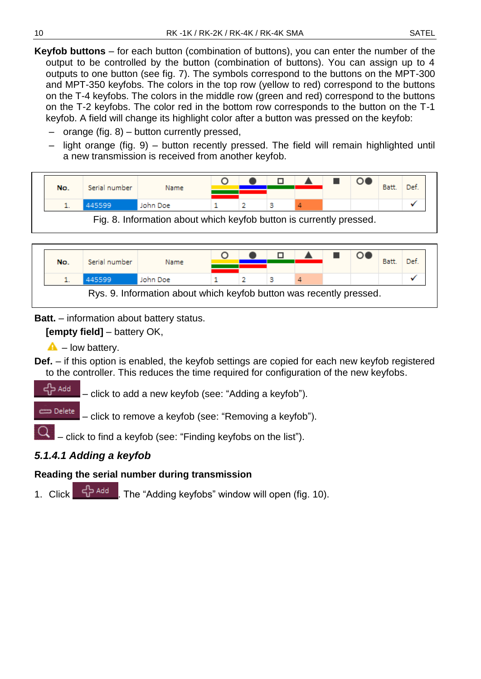**Keyfob buttons** – for each button (combination of buttons), you can enter the number of the output to be controlled by the button (combination of buttons). You can assign up to 4 outputs to one button (see fig. [7\)](#page-10-1). The symbols correspond to the buttons on the MPT-300 and MPT-350 keyfobs. The colors in the top row (yellow to red) correspond to the buttons on the T-4 keyfobs. The colors in the middle row (green and red) correspond to the buttons on the T-2 keyfobs. The color red in the bottom row corresponds to the button on the T-1 keyfob. A field will change its highlight color after a button was pressed on the keyfob:

- orange (fig. [8\)](#page-11-1) button currently pressed,
- light orange (fig. [9\)](#page-11-2) button recently pressed. The field will remain highlighted until a new transmission is received from another keyfob.

|                                                                     | No. | Serial number | Name     |  |  |  |  |  |  | Batt. | Def. |
|---------------------------------------------------------------------|-----|---------------|----------|--|--|--|--|--|--|-------|------|
|                                                                     |     | 445599        | John Doe |  |  |  |  |  |  |       |      |
| Fig. 8. Information about which keyfob button is currently pressed. |     |               |          |  |  |  |  |  |  |       |      |

<span id="page-11-1"></span>

| No. | Serial number | Name     |  |  |  | Batt. | Def. |
|-----|---------------|----------|--|--|--|-------|------|
|     | 445599        | John Doe |  |  |  |       |      |

**Batt.** – information about battery status.

<span id="page-11-2"></span>**[empty field]** – battery OK,

 $\triangle$  – low battery.

**Def.** – if this option is enabled, the keyfob settings are copied for each new keyfob registered to the controller. This reduces the time required for configuration of the new keyfobs.

= Add – click to add a new keyfob (see: ["Adding a keyfob"](#page-11-0)).

Delete – click to remove a keyfob (see: ["Removing a keyfob"](#page-14-1)).

– click to find a keyfob (see: ["Finding keyfobs on the list"](#page-14-0)).

#### <span id="page-11-0"></span>*5.1.4.1 Adding a keyfob*

#### **Reading the serial number during transmission**

1. Click  $\frac{d}{dx}$  and The "Adding keyfobs" window will open (fig. [10\)](#page-12-0).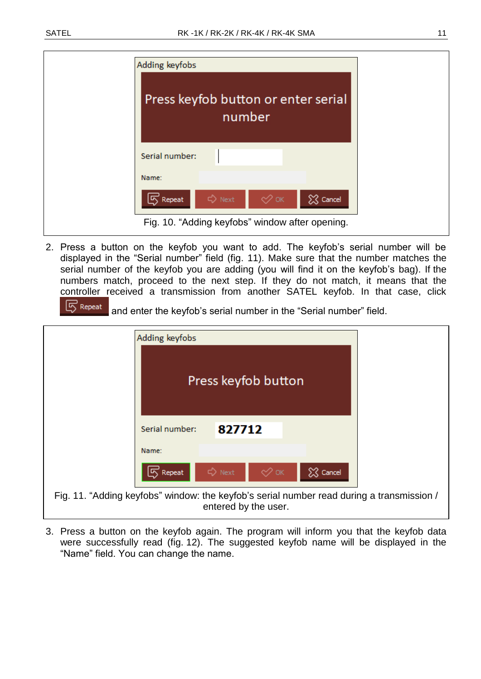| Adding keyfobs                                  |        |    |          |
|-------------------------------------------------|--------|----|----------|
| Press keyfob button or enter serial             | number |    |          |
| Serial number:                                  |        |    |          |
| Name:                                           |        |    |          |
| $\sqrt{5}$ Repeat                               | D Next | ≪∝ | X Cancel |
| Fig. 10. "Adding keyfobs" window after opening. |        |    |          |

<span id="page-12-0"></span>2. Press a button on the keyfob you want to add. The keyfob's serial number will be displayed in the "Serial number" field (fig. [11\)](#page-12-1). Make sure that the number matches the serial number of the keyfob you are adding (you will find it on the keyfob's bag). If the numbers match, proceed to the next step. If they do not match, it means that the controller received a transmission from another SATEL keyfob. In that case, click

 $\boxed{5}$  Repeat and enter the keyfob's serial number in the "Serial number" field.

|                                                                                                                   | Adding keyfobs        |        |                     |          |  |  |
|-------------------------------------------------------------------------------------------------------------------|-----------------------|--------|---------------------|----------|--|--|
|                                                                                                                   |                       |        | Press keyfob button |          |  |  |
|                                                                                                                   | Serial number:        | 827712 |                     |          |  |  |
|                                                                                                                   | Name:                 |        |                     |          |  |  |
|                                                                                                                   | $\overline{5}$ Repeat | D Next | ≪∝                  | X Cancel |  |  |
| Fig. 11. "Adding keyfobs" window: the keyfob's serial number read during a transmission /<br>entered by the user. |                       |        |                     |          |  |  |

<span id="page-12-1"></span>3. Press a button on the keyfob again. The program will inform you that the keyfob data were successfully read (fig. [12\)](#page-13-0). The suggested keyfob name will be displayed in the "Name" field. You can change the name.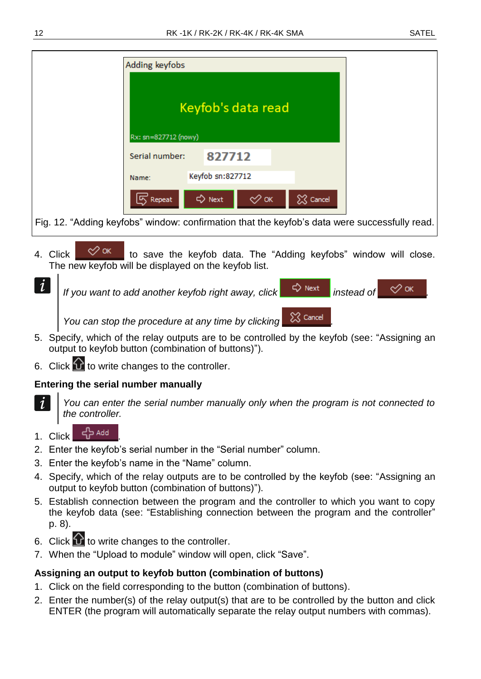|                                                                                               | Adding keyfobs                             |                  |              |          |  |
|-----------------------------------------------------------------------------------------------|--------------------------------------------|------------------|--------------|----------|--|
|                                                                                               | Keyfob's data read<br>Rx: sn=827712 (nowy) |                  |              |          |  |
|                                                                                               | Serial number:                             | 827712           |              |          |  |
|                                                                                               | Name:                                      | Keyfob sn:827712 |              |          |  |
|                                                                                               | $\sqrt{5}$ Repeat                          | <> Next          | $\oslash$ ок | X Cancel |  |
| Fig. 12. "Adding keyfobs" window: confirmation that the keyfob's data were successfully read. |                                            |                  |              |          |  |

- <span id="page-13-0"></span>4. Click  $\mathbb{R}^{\infty}$  ok to save the keyfob data. The "Adding keyfobs" window will close. The new keyfob will be displayed on the keyfob list.
- $\tilde{l}$ *If you want to add another keyfob right away, click*  $\Box$  *P Next instead of You can stop the procedure at any time by clicking .*
- 5. Specify, which of the relay outputs are to be controlled by the keyfob (see: ["Assigning an](#page-13-1)  [output to keyfob button \(combination of buttons\)"](#page-13-1)).
- 6. Click  $\bigcirc$  to write changes to the controller.

#### **Entering the serial number manually**

*You can enter the serial number manually only when the program is not connected to the controller.*

- 1. Click 남<sup>서 Add</sup>
- 2. Enter the keyfob's serial number in the "Serial number" column.
- 3. Enter the keyfob's name in the "Name" column.
- 4. Specify, which of the relay outputs are to be controlled by the keyfob (see: ["Assigning an](#page-13-1)  [output to keyfob button \(combination of buttons\)"](#page-13-1)).
- 5. Establish connection between the program and the controller to which you want to copy the keyfob data (see: ["Establishing connection between the program and the controller"](#page-9-0) p. [8\)](#page-9-0).
- 6. Click  $\Omega$  to write changes to the controller.
- 7. When the "Upload to module" window will open, click "Save".

#### <span id="page-13-1"></span>**Assigning an output to keyfob button (combination of buttons)**

- 1. Click on the field corresponding to the button (combination of buttons).
- 2. Enter the number(s) of the relay output(s) that are to be controlled by the button and click ENTER (the program will automatically separate the relay output numbers with commas).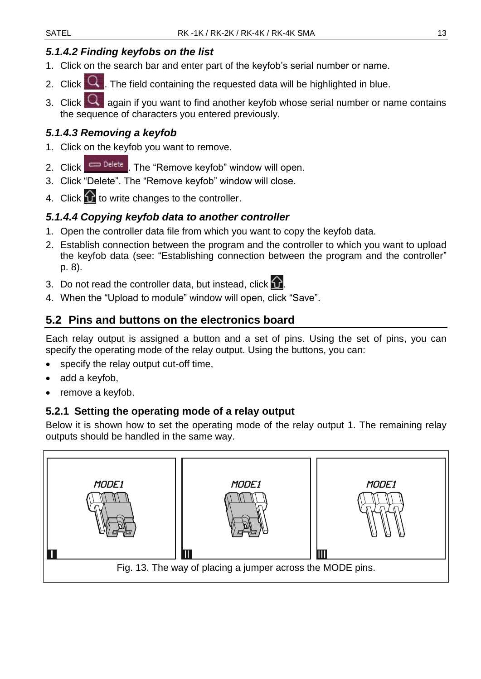#### <span id="page-14-0"></span>*5.1.4.2 Finding keyfobs on the list*

- 1. Click on the search bar and enter part of the keyfob's serial number or name.
- 2. Click  $\overline{Q}$ . The field containing the requested data will be highlighted in blue.
- 3. Click  $\mathbb{Q}$  again if you want to find another keyfob whose serial number or name contains the sequence of characters you entered previously.

#### <span id="page-14-1"></span>*5.1.4.3 Removing a keyfob*

- 1. Click on the keyfob you want to remove.
- 2. Click  $\Box$  Delete . The "Remove keyfob" window will open.
- 3. Click "Delete". The "Remove keyfob" window will close.
- 4. Click  $\Omega$  to write changes to the controller.

#### <span id="page-14-2"></span>*5.1.4.4 Copying keyfob data to another controller*

- 1. Open the controller data file from which you want to copy the keyfob data.
- 2. Establish connection between the program and the controller to which you want to upload the keyfob data (see: ["Establishing connection between the program and the controller"](#page-9-0) p. [8\)](#page-9-0).
- 3. Do not read the controller data, but instead, click  $\Omega$ .
- 4. When the "Upload to module" window will open, click "Save".

#### <span id="page-14-3"></span>**5.2 Pins and buttons on the electronics board**

Each relay output is assigned a button and a set of pins. Using the set of pins, you can specify the operating mode of the relay output. Using the buttons, you can:

- specify the relay output cut-off time,
- add a keyfob,
- remove a keyfob.

#### <span id="page-14-4"></span>**5.2.1 Setting the operating mode of a relay output**

Below it is shown how to set the operating mode of the relay output 1. The remaining relay outputs should be handled in the same way.

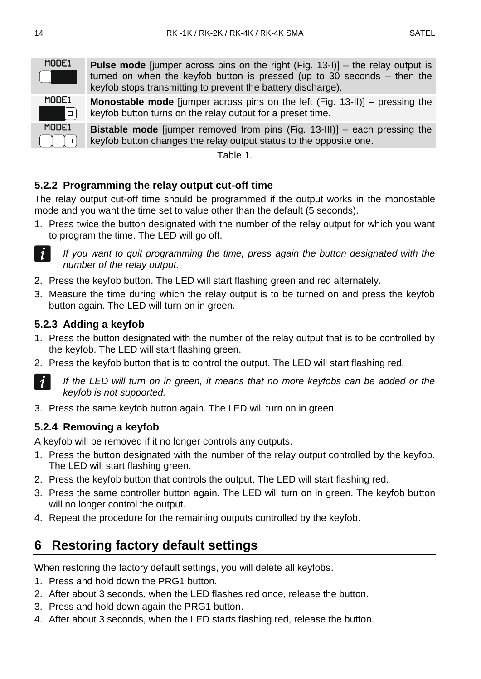**Bistable mode** [jumper removed from pins (Fig. 13-III)] – each pressing the

keyfob button changes the relay output status to the opposite one.

Table 1.

### <span id="page-15-0"></span>**5.2.2 Programming the relay output cut-off time**

The relay output cut-off time should be programmed if the output works in the monostable mode and you want the time set to value other than the default (5 seconds).

1. Press twice the button designated with the number of the relay output for which you want to program the time. The LED will go off.



*If you want to quit programming the time, press again the button designated with the number of the relay output.*

- 2. Press the keyfob button. The LED will start flashing green and red alternately.
- 3. Measure the time during which the relay output is to be turned on and press the keyfob button again. The LED will turn on in green.

#### <span id="page-15-1"></span>**5.2.3 Adding a keyfob**

- 1. Press the button designated with the number of the relay output that is to be controlled by the keyfob. The LED will start flashing green.
- 2. Press the keyfob button that is to control the output. The LED will start flashing red.



If the LED will turn on in green, it means that no more keyfobs can be added or the *keyfob is not supported.*

3. Press the same keyfob button again. The LED will turn on in green.

#### <span id="page-15-2"></span>**5.2.4 Removing a keyfob**

A keyfob will be removed if it no longer controls any outputs.

- 1. Press the button designated with the number of the relay output controlled by the keyfob. The LED will start flashing green.
- 2. Press the keyfob button that controls the output. The LED will start flashing red.
- 3. Press the same controller button again. The LED will turn on in green. The keyfob button will no longer control the output.
- 4. Repeat the procedure for the remaining outputs controlled by the keyfob.

# <span id="page-15-3"></span>**6 Restoring factory default settings**

When restoring the factory default settings, you will delete all keyfobs.

- 1. Press and hold down the PRG1 button.
- 2. After about 3 seconds, when the LED flashes red once, release the button.
- 3. Press and hold down again the PRG1 button.
- 4. After about 3 seconds, when the LED starts flashing red, release the button.

 $\Box$ 

 $\Box \Box \Box$